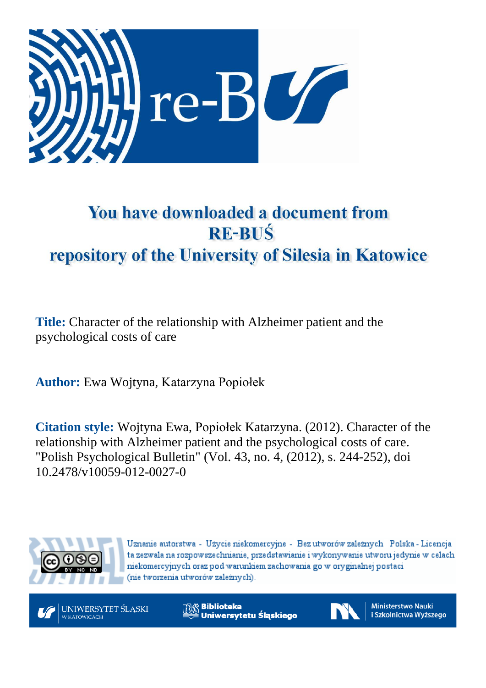

# You have downloaded a document from **RE-BUŚ** repository of the University of Silesia in Katowice

**Title:** Character of the relationship with Alzheimer patient and the psychological costs of care

**Author:** Ewa Wojtyna*,* Katarzyna Popiołek

**Citation style:** Wojtyna Ewa, Popiołek Katarzyna. (2012). Character of the relationship with Alzheimer patient and the psychological costs of care. "Polish Psychological Bulletin" (Vol. 43, no. 4, (2012), s. 244-252), doi 10.2478/v10059-012-0027-0



Uznanie autorstwa - Użycie niekomercyjne - Bez utworów zależnych Polska - Licencja ta zezwala na rozpowszechnianie, przedstawianie i wykonywanie utworu jedynie w celach niekomercyjnych oraz pod warunkiem zachowania go w oryginalnej postaci (nie tworzenia utworów zależnych).



**Biblioteka** Uniwersytetu Śląskiego



**Ministerstwo Nauki** i Szkolnictwa Wyższego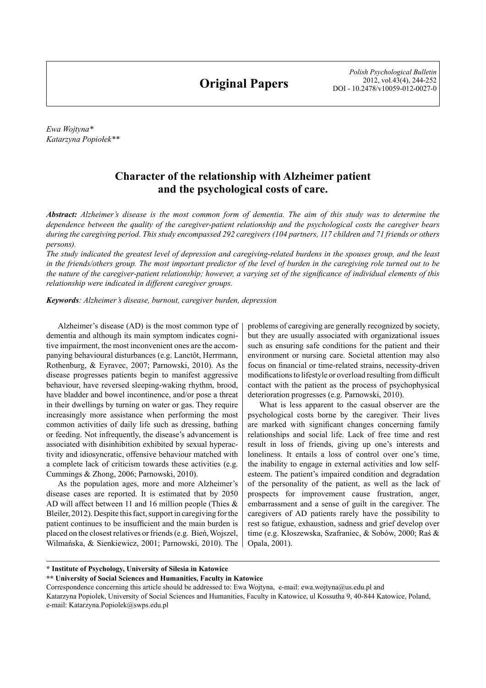*Polish Psychological Bulletin* 2012, vol.43(4), 244-252 DOI - 10.2478/v10059-012-0027-0

*Ewa Wojtyna\* Katarzyna Popiołek\*\**

# **Character of the relationship with Alzheimer patient and the psychological costs of care.**

*Abstract: Alzheimer's disease is the most common form of dementia. The aim of this study was to determine the dependence between the quality of the caregiver-patient relationship and the psychological costs the caregiver bears during the caregiving period. This study encompassed 292 caregivers (104 partners, 117 children and 71 friends or others persons).*

*The study indicated the greatest level of depression and caregiving-related burdens in the spouses group, and the least in the friends/others group. The most important predictor of the level of burden in the caregiving role turned out to be*  the nature of the caregiver-patient relationship; however, a varying set of the significance of individual elements of this *relationship were indicated in different caregiver groups.*

# *Keywords: Alzheimer's disease, burnout, caregiver burden, depression*

Alzheimer's disease (AD) is the most common type of dementia and although its main symptom indicates cognitive impairment, the most inconvenient ones are the accompanying behavioural disturbances (e.g. Lanctôt, Herrmann, Rothenburg, & Eyravec, 2007; Parnowski, 2010). As the disease progresses patients begin to manifest aggressive behaviour, have reversed sleeping-waking rhythm, brood, have bladder and bowel incontinence, and/or pose a threat in their dwellings by turning on water or gas. They require increasingly more assistance when performing the most common activities of daily life such as dressing, bathing or feeding. Not infrequently, the disease's advancement is associated with disinhibition exhibited by sexual hyperactivity and idiosyncratic, offensive behaviour matched with a complete lack of criticism towards these activities (e.g. Cummings & Zhong, 2006; Parnowski, 2010).

As the population ages, more and more Alzheimer's disease cases are reported. It is estimated that by 2050 AD will affect between 11 and 16 million people (Thies & Bleiler, 2012). Despite this fact, support in caregiving for the patient continues to be insufficient and the main burden is placed on the closest relatives or friends (e.g. Bień, Wojszel, Wilmańska, & Sienkiewicz, 2001; Parnowski, 2010). The problems of caregiving are generally recognized by society, but they are usually associated with organizational issues such as ensuring safe conditions for the patient and their environment or nursing care. Societal attention may also focus on financial or time-related strains, necessity-driven modifications to lifestyle or overload resulting from difficult contact with the patient as the process of psychophysical deterioration progresses (e.g. Parnowski, 2010).

What is less apparent to the casual observer are the psychological costs borne by the caregiver. Their lives are marked with significant changes concerning family relationships and social life. Lack of free time and rest result in loss of friends, giving up one's interests and loneliness. It entails a loss of control over one's time, the inability to engage in external activities and low selfesteem. The patient's impaired condition and degradation of the personality of the patient, as well as the lack of prospects for improvement cause frustration, anger, embarrassment and a sense of guilt in the caregiver. The caregivers of AD patients rarely have the possibility to rest so fatigue, exhaustion, sadness and grief develop over time (e.g. Kłoszewska, Szafraniec, & Sobów, 2000; Raś & Opala, 2001).

**\* Institute of Psychology, University of Silesia in Katowice**

**\*\* University of Social Sciences and Humanities, Faculty in Katowice**

Correspondence concerning this article should be addressed to: Ewa Wojtyna, e-mail: ewa.wojtyna@us.edu.pl and

Katarzyna Popiolek, University of Social Sciences and Humanities, Faculty in Katowice, ul Kossutha 9, 40-844 Katowice, Poland, e-mail: Katarzyna.Popiolek@swps.edu.pl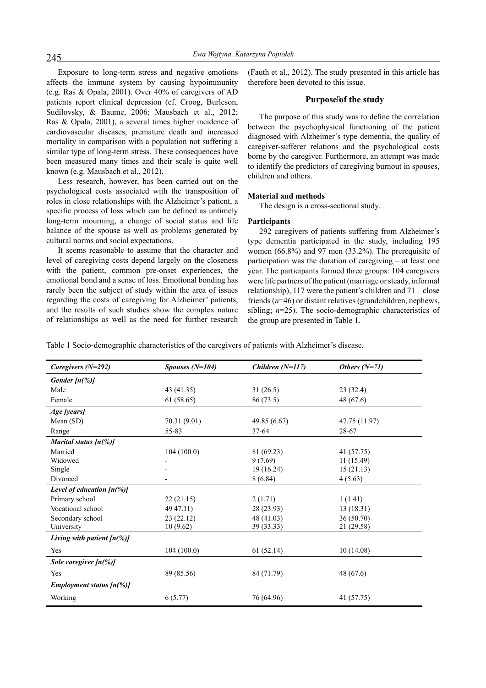Exposure to long-term stress and negative emotions affects the immune system by causing hypoimmunity (e.g. Raś & Opala, 2001). Over 40% of caregivers of AD patients report clinical depression (cf. Croog, Burleson, Sudilovsky, & Baume, 2006; Mausbach et al., 2012; Raś & Opala, 2001), a several times higher incidence of cardiovascular diseases, premature death and increased mortality in comparison with a population not suffering a similar type of long-term stress. These consequences have been measured many times and their scale is quite well known (e.g. Mausbach et al., 2012).

Less research, however, has been carried out on the psychological costs associated with the transposition of roles in close relationships with the Alzheimer's patient, a specific process of loss which can be defined as untimely long-term mourning, a change of social status and life balance of the spouse as well as problems generated by cultural norms and social expectations.

It seems reasonable to assume that the character and level of caregiving costs depend largely on the closeness with the patient, common pre-onset experiences, the emotional bond and a sense of loss. Emotional bonding has rarely been the subject of study within the area of issues regarding the costs of caregiving for Alzheimer' patients, and the results of such studies show the complex nature of relationships as well as the need for further research (Fauth et al., 2012). The study presented in this article has therefore been devoted to this issue.

# **Purposeof the study**

The purpose of this study was to define the correlation between the psychophysical functioning of the patient diagnosed with Alzheimer's type dementia, the quality of caregiver-sufferer relations and the psychological costs borne by the caregiver. Furthermore, an attempt was made to identify the predictors of caregiving burnout in spouses, children and others.

# **Material and methods**

The design is a cross-sectional study.

#### **Participants**

292 caregivers of patients suffering from Alzheimer's type dementia participated in the study, including 195 women (66.8%) and 97 men (33.2%). The prerequisite of participation was the duration of caregiving – at least one year. The participants formed three groups: 104 caregivers were life partners of the patient (marriage or steady, informal relationship), 117 were the patient's children and 71 – close friends (*n*=46) or distant relatives (grandchildren, nephews, sibling; *n*=25). The socio-demographic characteristics of the group are presented in Table 1.

Table 1 Socio-demographic characteristics of the caregivers of patients with Alzheimer's disease.

| Caregivers (N=292)            | Spouses $(N=104)$ | Children $(N=117)$ | Others $(N=71)$ |
|-------------------------------|-------------------|--------------------|-----------------|
| Gender $[n(\%)]$              |                   |                    |                 |
| Male                          | 43 (41.35)        | 31(26.5)           | 23(32.4)        |
| Female                        | 61(58.65)         | 86 (73.5)          | 48 (67.6)       |
| Age [years]                   |                   |                    |                 |
| Mean $(SD)$                   | 70.31 (9.01)      | 49.85 (6.67)       | 47.75 (11.97)   |
| Range                         | 55-83             | $37 - 64$          | 28-67           |
| Marital status $[n(\%)]$      |                   |                    |                 |
| Married                       | 104(100.0)        | 81 (69.23)         | 41 (57.75)      |
| Widowed                       |                   | 9(7.69)            | 11(15.49)       |
| Single                        |                   | 19(16.24)          | 15(21.13)       |
| Divorced                      |                   | 8(6.84)            | 4(5.63)         |
| Level of education $[n(\%)]$  |                   |                    |                 |
| Primary school                | 22(21.15)         | 2(1.71)            | 1(1.41)         |
| Vocational school             | 49 47.11)         | 28 (23.93)         | 13 (18.31)      |
| Secondary school              | 23(22.12)         | 48 (41.03)         | 36 (50.70)      |
| University                    | 10(9.62)          | 39 (33.33)         | 21 (29.58)      |
| Living with patient $[n(\%)]$ |                   |                    |                 |
| Yes                           | 104(100.0)        | 61(52.14)          | 10(14.08)       |
| Sole caregiver $[n(\%)]$      |                   |                    |                 |
| Yes                           | 89 (85.56)        | 84 (71.79)         | 48 (67.6)       |
| Employment status $[n(\%)]$   |                   |                    |                 |
| Working                       | 6(5.77)           | 76 (64.96)         | 41 (57.75)      |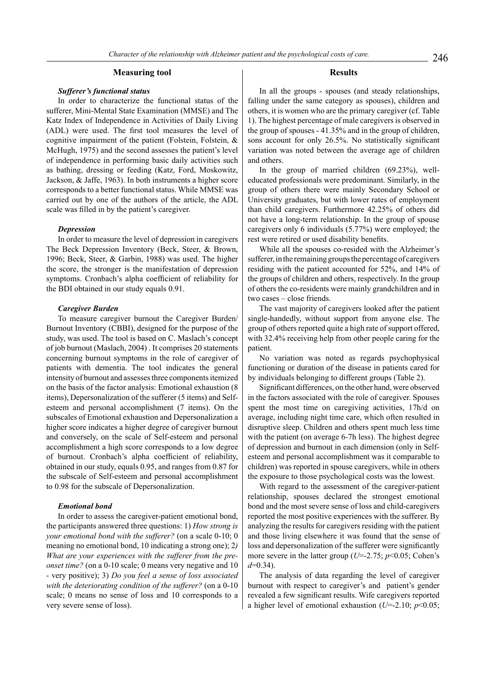#### **Measuring tool**

#### *Sufferer's functional status*

In order to characterize the functional status of the sufferer, Mini-Mental State Examination (MMSE) and The Katz Index of Independence in Activities of Daily Living (ADL) were used. The first tool measures the level of cognitive impairment of the patient (Folstein, Folstein, & McHugh, 1975) and the second assesses the patient's level of independence in performing basic daily activities such as bathing, dressing or feeding (Katz, Ford, Moskowitz, Jackson, & Jaffe, 1963). In both instruments a higher score corresponds to a better functional status. While MMSE was carried out by one of the authors of the article, the ADL scale was filled in by the patient's caregiver.

# *Depression*

In order to measure the level of depression in caregivers The Beck Depression Inventory (Beck, Steer, & Brown, 1996; Beck, Steer, & Garbin, 1988) was used. The higher the score, the stronger is the manifestation of depression symptoms. Cronbach's alpha coefficient of reliability for the BDI obtained in our study equals 0.91.

#### *Caregiver Burden*

To measure caregiver burnout the Caregiver Burden/ Burnout Inventory (CBBI), designed for the purpose of the study, was used. The tool is based on C. Maslach's concept of job burnout (Maslach, 2004) . It comprises 20 statements concerning burnout symptoms in the role of caregiver of patients with dementia. The tool indicates the general intensity of burnout and assesses three components itemized on the basis of the factor analysis: Emotional exhaustion (8 items), Depersonalization of the sufferer (5 items) and Selfesteem and personal accomplishment (7 items). On the subscales of Emotional exhaustion and Depersonalization a higher score indicates a higher degree of caregiver burnout and conversely, on the scale of Self-esteem and personal accomplishment a high score corresponds to a low degree of burnout. Cronbach's alpha coefficient of reliability, obtained in our study, equals 0.95, and ranges from 0.87 for the subscale of Self-esteem and personal accomplishment to 0.98 for the subscale of Depersonalization.

#### *Emotional bond*

In order to assess the caregiver-patient emotional bond, the participants answered three questions: 1) *How strong is your emotional bond with the sufferer?* (on a scale 0-10; 0 meaning no emotional bond, 10 indicating a strong one); 2*) What are your experiences with the sufferer from the preonset time?* (on a 0-10 scale; 0 means very negative and 10 - very positive); 3) *Do you feel a sense of loss associated with the deteriorating condition of the sufferer?* (on a 0-10 scale; 0 means no sense of loss and 10 corresponds to a very severe sense of loss).

#### **Results**

In all the groups - spouses (and steady relationships, falling under the same category as spouses), children and others, it is women who are the primary caregiver (cf. Table 1). The highest percentage of male caregivers is observed in the group of spouses - 41.35% and in the group of children, sons account for only 26.5%. No statistically significant variation was noted between the average age of children and others.

In the group of married children (69.23%), welleducated professionals were predominant. Similarly, in the group of others there were mainly Secondary School or University graduates, but with lower rates of employment than child caregivers. Furthermore 42.25% of others did not have a long-term relationship. In the group of spouse caregivers only 6 individuals (5.77%) were employed; the rest were retired or used disability benefits.

While all the spouses co-resided with the Alzheimer's sufferer, in the remaining groups the percentage of caregivers residing with the patient accounted for 52%, and 14% of the groups of children and others, respectively. In the group of others the co-residents were mainly grandchildren and in two cases – close friends.

The vast majority of caregivers looked after the patient single-handedly, without support from anyone else. The group of others reported quite a high rate of support offered, with 32.4% receiving help from other people caring for the patient.

No variation was noted as regards psychophysical functioning or duration of the disease in patients cared for by individuals belonging to different groups (Table 2).

Significant differences, on the other hand, were observed in the factors associated with the role of caregiver. Spouses spent the most time on caregiving activities, 17h/d on average, including night time care, which often resulted in disruptive sleep. Children and others spent much less time with the patient (on average 6-7h less). The highest degree of depression and burnout in each dimension (only in Selfesteem and personal accomplishment was it comparable to children) was reported in spouse caregivers, while in others the exposure to those psychological costs was the lowest.

With regard to the assessment of the caregiver-patient relationship, spouses declared the strongest emotional bond and the most severe sense of loss and child-caregivers reported the most positive experiences with the sufferer. By analyzing the results for caregivers residing with the patient and those living elsewhere it was found that the sense of loss and depersonalization of the sufferer were significantly more severe in the latter group ( $U=2.75$ ;  $p<0.05$ ; Cohen's *d*=0.34).

The analysis of data regarding the level of caregiver burnout with respect to caregiver's and patient's gender revealed a few significant results. Wife caregivers reported a higher level of emotional exhaustion (*U*=-2.10; *p*<0.05;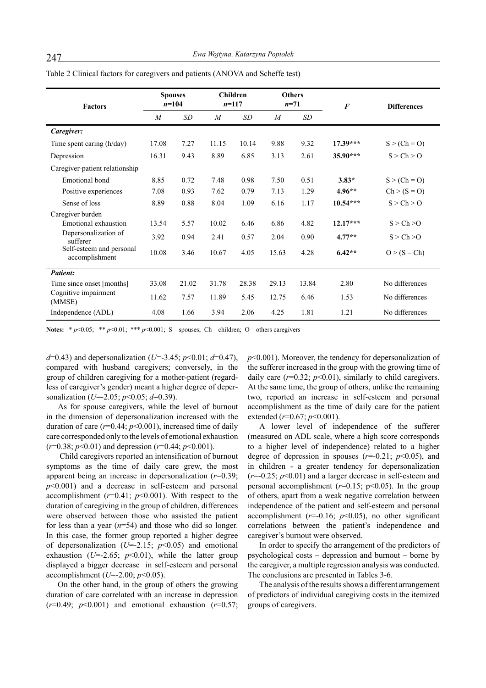|                                            | <b>Spouses</b><br>$n = 104$ |       | <b>Children</b><br>$n=117$ |       | <b>Others</b><br>$n = 71$ |       |            |                    |
|--------------------------------------------|-----------------------------|-------|----------------------------|-------|---------------------------|-------|------------|--------------------|
| <b>Factors</b>                             |                             |       |                            |       |                           |       | $\bm{F}$   | <b>Differences</b> |
|                                            | $\overline{M}$              | SD    | $\overline{M}$             | SD    | $\overline{M}$            | SD    |            |                    |
| Caregiver:                                 |                             |       |                            |       |                           |       |            |                    |
| Time spent caring (h/day)                  | 17.08                       | 7.27  | 11.15                      | 10.14 | 9.88                      | 9.32  | $17.39***$ | $S > (Ch = O)$     |
| Depression                                 | 16.31                       | 9.43  | 8.89                       | 6.85  | 3.13                      | 2.61  | 35.90***   | S > Ch > O         |
| Caregiver-patient relationship             |                             |       |                            |       |                           |       |            |                    |
| Emotional bond                             | 8.85                        | 0.72  | 7.48                       | 0.98  | 7.50                      | 0.51  | $3.83*$    | $S > (Ch = O)$     |
| Positive experiences                       | 7.08                        | 0.93  | 7.62                       | 0.79  | 7.13                      | 1.29  | $4.96**$   | $Ch > (S = O)$     |
| Sense of loss                              | 8.89                        | 0.88  | 8.04                       | 1.09  | 6.16                      | 1.17  | $10.54***$ | S > Ch > O         |
| Caregiver burden                           |                             |       |                            |       |                           |       |            |                    |
| Emotional exhaustion                       | 13.54                       | 5.57  | 10.02                      | 6.46  | 6.86                      | 4.82  | $12.17***$ | S > Ch > O         |
| Depersonalization of<br>sufferer           | 3.92                        | 0.94  | 2.41                       | 0.57  | 2.04                      | 0.90  | $4.77**$   | S > Ch > O         |
| Self-esteem and personal<br>accomplishment | 10.08                       | 3.46  | 10.67                      | 4.05  | 15.63                     | 4.28  | $6.42**$   | $O > (S = Ch)$     |
| <b>Patient:</b>                            |                             |       |                            |       |                           |       |            |                    |
| Time since onset [months]                  | 33.08                       | 21.02 | 31.78                      | 28.38 | 29.13                     | 13.84 | 2.80       | No differences     |
| Cognitive impairment<br>(MMSE)             | 11.62                       | 7.57  | 11.89                      | 5.45  | 12.75                     | 6.46  | 1.53       | No differences     |
| Independence (ADL)                         | 4.08                        | 1.66  | 3.94                       | 2.06  | 4.25                      | 1.81  | 1.21       | No differences     |

|  |  |  | Table 2 Clinical factors for caregivers and patients (ANOVA and Scheffe test) |  |  |  |  |
|--|--|--|-------------------------------------------------------------------------------|--|--|--|--|
|--|--|--|-------------------------------------------------------------------------------|--|--|--|--|

**Notes:**  $* p \le 0.05$ ;  $* p \le 0.01$ ;  $* * p \le 0.001$ ; S – spouses; Ch – children; O – others caregivers

 $d=0.43$ ) and depersonalization (*U*=-3.45; *p*<0.01;  $d=0.47$ ), compared with husband caregivers; conversely, in the group of children caregiving for a mother-patient (regardless of caregiver's gender) meant a higher degree of depersonalization (*U*=-2.05; *p*<0.05; *d*=0.39).

As for spouse caregivers, while the level of burnout in the dimension of depersonalization increased with the duration of care  $(r=0.44; p<0.001)$ , increased time of daily care corresponded only to the levels of emotional exhaustion (*r*=0.38; *p*<0.01) and depression (*r*=0.44; *p*<0.001).

Child caregivers reported an intensification of burnout symptoms as the time of daily care grew, the most apparent being an increase in depersonalization (*r*=0.39;  $p$ <0.001) and a decrease in self-esteem and personal accomplishment  $(r=0.41; p<0.001)$ . With respect to the duration of caregiving in the group of children, differences were observed between those who assisted the patient for less than a year (*n*=54) and those who did so longer. In this case, the former group reported a higher degree of depersonalization  $(U=2.15; p<0.05)$  and emotional exhaustion ( $U=2.65$ ;  $p<0.01$ ), while the latter group displayed a bigger decrease in self-esteem and personal accomplishment (*U*=-2.00; *p*<0.05).

On the other hand, in the group of others the growing duration of care correlated with an increase in depression  $(r=0.49; p<0.001)$  and emotional exhaustion  $(r=0.57;$  *p*<0.001). Moreover, the tendency for depersonalization of the sufferer increased in the group with the growing time of daily care  $(r=0.32; p<0.01)$ , similarly to child caregivers. At the same time, the group of others, unlike the remaining two, reported an increase in self-esteem and personal accomplishment as the time of daily care for the patient extended (*r*=0.67; *p*<0.001).

A lower level of independence of the sufferer (measured on ADL scale, where a high score corresponds to a higher level of independence) related to a higher degree of depression in spouses  $(r=0.21; p<0.05)$ , and in children - a greater tendency for depersonalization  $(r=0.25; p<0.01)$  and a larger decrease in self-esteem and personal accomplishment  $(r=0.15; p<0.05)$ . In the group of others, apart from a weak negative correlation between independence of the patient and self-esteem and personal accomplishment  $(r=0.16; p<0.05)$ , no other significant correlations between the patient's independence and caregiver's burnout were observed.

In order to specify the arrangement of the predictors of psychological costs – depression and burnout – borne by the caregiver, a multiple regression analysis was conducted. The conclusions are presented in Tables 3-6.

The analysis of the results shows a different arrangement of predictors of individual caregiving costs in the itemized groups of caregivers.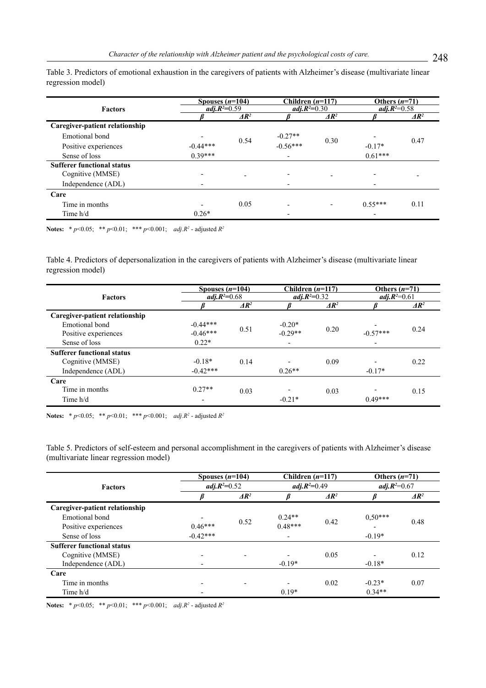Table 3. Predictors of emotional exhaustion in the caregivers of patients with Alzheimer's disease (multivariate linear regression model)

|                                   | Spouses $(n=104)$<br><i>adj.R</i> <sup>2</sup> =0.59 |              | Children $(n=117)$              |              | Others $(n=71)$<br><i>adi.R</i> <sup>2</sup> =0.58 |              |
|-----------------------------------|------------------------------------------------------|--------------|---------------------------------|--------------|----------------------------------------------------|--------------|
| <b>Factors</b>                    |                                                      |              | <i>adj.R</i> <sup>2</sup> =0.30 |              |                                                    |              |
|                                   |                                                      | $\Delta R^2$ |                                 | $\Delta R^2$ |                                                    | $\Delta R^2$ |
| Caregiver-patient relationship    |                                                      |              |                                 |              |                                                    |              |
| Emotional bond                    |                                                      | 0.54         | $-0.27**$                       | 0.30         |                                                    | 0.47         |
| Positive experiences              | $-0.44***$                                           |              | $-0.56***$                      |              | $-0.17*$                                           |              |
| Sense of loss                     | $0.39***$                                            |              | $\overline{\phantom{a}}$        |              | $0.61***$                                          |              |
| <b>Sufferer functional status</b> |                                                      |              |                                 |              |                                                    |              |
| Cognitive (MMSE)                  |                                                      |              |                                 |              |                                                    |              |
| Independence (ADL)                |                                                      |              |                                 |              | $\overline{\phantom{a}}$                           |              |
| Care                              |                                                      |              |                                 |              |                                                    |              |
| Time in months                    |                                                      | 0.05         |                                 |              | $0.55***$                                          | 0.11         |
| Time $h/d$                        | $0.26*$                                              |              |                                 |              | ٠                                                  |              |

**Notes:**  $* p \le 0.05$ ;  $* p \le 0.01$ ;  $* * p \le 0.001$ ; *adj.R*<sup>2</sup> - adjusted *R*<sup>2</sup>

Table 4. Predictors of depersonalization in the caregivers of patients with Alzheimer's disease (multivariate linear regression model)

|                                   | Spouses $(n=104)$<br><i>adj.R</i> <sup>2</sup> =0.68 |              | Children $(n=117)$              |              | Others $(n=71)$<br><i>adj.R</i> <sup>2=0.61</sup> |              |
|-----------------------------------|------------------------------------------------------|--------------|---------------------------------|--------------|---------------------------------------------------|--------------|
| <b>Factors</b>                    |                                                      |              | <i>adj.R</i> <sup>2</sup> =0.32 |              |                                                   |              |
|                                   |                                                      | $\Delta R^2$ |                                 | $\Delta R^2$ |                                                   | $\Delta R^2$ |
| Caregiver-patient relationship    |                                                      |              |                                 |              |                                                   |              |
| Emotional bond                    | $-0.44***$                                           |              | $-0.20*$                        | 0.20         |                                                   | 0.24         |
| Positive experiences              | $-0.46***$                                           | 0.51         | $-0.29**$                       |              | $-0.57***$                                        |              |
| Sense of loss                     | $0.22*$                                              |              | $\overline{\phantom{a}}$        |              | $\overline{\phantom{a}}$                          |              |
| <b>Sufferer functional status</b> |                                                      |              |                                 |              |                                                   |              |
| Cognitive (MMSE)                  | $-0.18*$                                             | 0.14         |                                 | 0.09         | $\blacksquare$                                    | 0.22         |
| Independence (ADL)                | $-0.42***$                                           |              | $0.26**$                        |              | $-0.17*$                                          |              |
| Care                              |                                                      |              |                                 |              |                                                   |              |
| Time in months                    | $0.27**$                                             | 0.03         | $\overline{\phantom{0}}$        | 0.03         | $\overline{\phantom{0}}$                          | 0.15         |
| Time $h/d$                        | $\overline{\phantom{0}}$                             |              | $-0.21*$                        |              | $0.49***$                                         |              |

**Notes:**  $* p \le 0.05$ ;  $* p \le 0.01$ ;  $* * p \le 0.001$ ; *adj.R<sup>2</sup>* - adjusted *R<sup>2</sup>* 

Table 5. Predictors of self-esteem and personal accomplishment in the caregivers of patients with Alzheimer's disease (multivariate linear regression model)

|                                   | Spouses $(n=104)$<br><i>adj.R</i> <sup>2</sup> =0.52 |              | Children $(n=117)$              |              | Others $(n=71)$<br><i>adj.R</i> <sup>2=0.67</sup> |              |
|-----------------------------------|------------------------------------------------------|--------------|---------------------------------|--------------|---------------------------------------------------|--------------|
| <b>Factors</b>                    |                                                      |              | <i>adj.R</i> <sup>2</sup> =0.49 |              |                                                   |              |
|                                   |                                                      | $\Delta R^2$ |                                 | $\Delta R^2$ |                                                   | $\Delta R^2$ |
| Caregiver-patient relationship    |                                                      |              |                                 |              |                                                   |              |
| Emotional bond                    |                                                      | 0.52         | $0.24**$                        | 0.42         | $0.50***$                                         | 0.48         |
| Positive experiences              | $0.46***$                                            |              | $0.48***$                       |              | $\overline{\phantom{a}}$                          |              |
| Sense of loss                     | $-0.42***$                                           |              |                                 |              | $-0.19*$                                          |              |
| <b>Sufferer functional status</b> |                                                      |              |                                 |              |                                                   |              |
| Cognitive (MMSE)                  |                                                      |              |                                 | 0.05         |                                                   | 0.12         |
| Independence (ADL)                |                                                      |              | $-0.19*$                        |              | $-0.18*$                                          |              |
| Care                              |                                                      |              |                                 |              |                                                   |              |
| Time in months                    |                                                      |              |                                 | 0.02         | $-0.23*$                                          | 0.07         |
| Time h/d                          |                                                      |              | $0.19*$                         |              | $0.34**$                                          |              |

**Notes:**  $* p \le 0.05$ ;  $* p \le 0.01$ ;  $* * p \le 0.001$ ; *adj.R*<sup>2</sup> - adjusted *R*<sup>2</sup>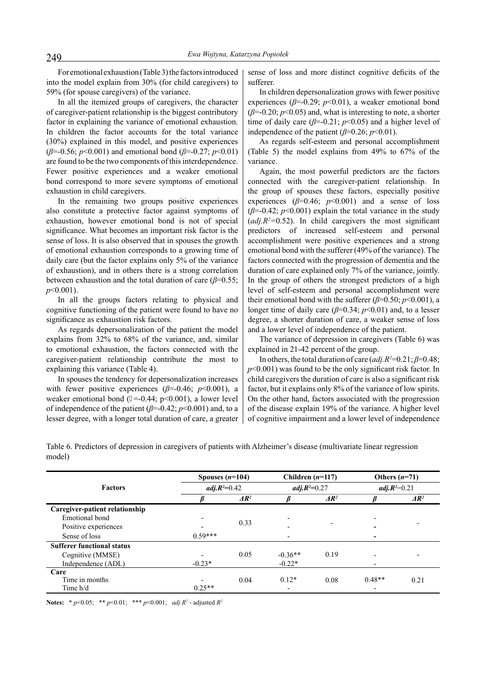For emotional exhaustion (Table 3) the factors introduced into the model explain from 30% (for child caregivers) to 59% (for spouse caregivers) of the variance.

In all the itemized groups of caregivers, the character of caregiver-patient relationship is the biggest contributory factor in explaining the variance of emotional exhaustion. In children the factor accounts for the total variance (30%) explained in this model, and positive experiences (*β*=-0.56; *p*<0.001) and emotional bond (*β*=-0.27; *p*<0.01) are found to be the two components of this interdependence. Fewer positive experiences and a weaker emotional bond correspond to more severe symptoms of emotional exhaustion in child caregivers.

In the remaining two groups positive experiences also constitute a protective factor against symptoms of exhaustion, however emotional bond is not of special significance. What becomes an important risk factor is the sense of loss. It is also observed that in spouses the growth of emotional exhaustion corresponds to a growing time of daily care (but the factor explains only 5% of the variance of exhaustion), and in others there is a strong correlation between exhaustion and the total duration of care (*β*=0.55; *p*<0.001).

In all the groups factors relating to physical and cognitive functioning of the patient were found to have no significance as exhaustion risk factors.

As regards depersonalization of the patient the model explains from 32% to 68% of the variance, and, similar to emotional exhaustion, the factors connected with the caregiver-patient relationship contribute the most to explaining this variance (Table 4).

In spouses the tendency for depersonalization increases with fewer positive experiences  $(\beta = 0.46; p < 0.001)$ , a weaker emotional bond  $( = -0.44; \text{ p} < 0.001)$ , a lower level of independence of the patient ( $\beta$ =-0.42;  $p$ <0.001) and, to a lesser degree, with a longer total duration of care, a greater sense of loss and more distinct cognitive deficits of the sufferer.

In children depersonalization grows with fewer positive experiences (*β*=-0.29; *p*<0.01), a weaker emotional bond  $(\beta = 0.20; p < 0.05)$  and, what is interesting to note, a shorter time of daily care (*β*=-0.21; *p*<0.05) and a higher level of independence of the patient  $(\beta=0.26; p<0.01)$ .

As regards self-esteem and personal accomplishment (Table 5) the model explains from 49% to 67% of the variance.

Again, the most powerful predictors are the factors connected with the caregiver-patient relationship. In the group of spouses these factors, especially positive experiences ( $\beta$ =0.46;  $p$ <0.001) and a sense of loss  $(\beta = 0.42; p < 0.001)$  explain the total variance in the study  $(adj.R<sup>2</sup>=0.52)$ . In child caregivers the most significant predictors of increased self-esteem and personal accomplishment were positive experiences and a strong emotional bond with the sufferer (49% of the variance). The factors connected with the progression of dementia and the duration of care explained only 7% of the variance, jointly. In the group of others the strongest predictors of a high level of self-esteem and personal accomplishment were their emotional bond with the sufferer ( $\beta$ =0.50; *p*<0.001), a longer time of daily care ( $\beta$ =0.34;  $p$ <0.01) and, to a lesser degree, a shorter duration of care, a weaker sense of loss and a lower level of independence of the patient.

The variance of depression in caregivers (Table 6) was explained in 21-42 percent of the group.

In others, the total duration of care  $(adj. R^2 = 0.21; \beta = 0.48;$  $p<0.001$ ) was found to be the only significant risk factor. In child caregivers the duration of care is also a significant risk factor, but it explains only 8% of the variance of low spirits. On the other hand, factors associated with the progression of the disease explain 19% of the variance. A higher level of cognitive impairment and a lower level of independence

**Factors Spouses (***n***=104) Children (***n***=117) Others (***n***=71)**  $adi. R^2 = 0.42$  $adj. R^2 = 0.27$ **=**0.27 *adj.R2* =0.21 *β ΔR2 β ΔR2 β ΔR2* **Caregiver-patient relationship** Emotional bond<br>Positive experiences Positive experiences **a** a set of  $\overline{a}$  a set of  $\overline{b}$  a set of  $\overline{a}$  a set of  $\overline{a}$  a set of  $\overline{a}$  a set of  $\overline{a}$  a set of  $\overline{a}$  a set of  $\overline{a}$  a set of  $\overline{a}$  a set of  $\overline{a}$  a set of  $\overline{a}$ Sense of loss 0.59\*\*\* **Sufferer functional status** Cognitive (MMSE)  $-0.05 -0.36**$  0.19 -Independence  $(ADL)$  -0.23\* -0.22\* **Care** Time in months  $\frac{1}{25^{***}}$  0.04 0.12\* 0.08 0.48\*\* 0.21<br>Time h/d 0.25\*\* Time h/d 0.25\*\* - -

Table 6. Predictors of depression in caregivers of patients with Alzheimer's disease (multivariate linear regression model)

**Notes:**  $* p \le 0.05$ ;  $* p \le 0.01$ ;  $* * p \le 0.001$ ; *adj.R*<sup>2</sup> - adjusted *R*<sup>2</sup>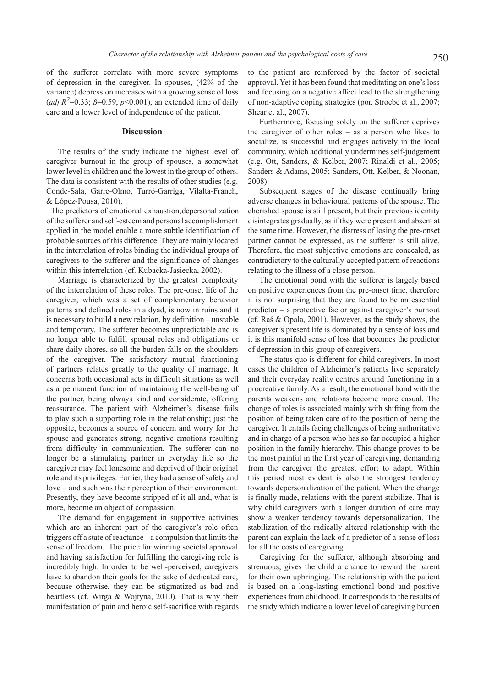of the sufferer correlate with more severe symptoms of depression in the caregiver. In spouses, (42% of the variance) depression increases with a growing sense of loss  $(adj.R^2=0.33; \beta=0.59, p<0.001)$ , an extended time of daily care and a lower level of independence of the patient.

#### **Discussion**

The results of the study indicate the highest level of caregiver burnout in the group of spouses, a somewhat lower level in children and the lowest in the group of others. The data is consistent with the results of other studies (e.g. Conde-Sala, Garre-Olmo, Turró-Garriga, Vilalta-Franch, & López-Pousa, 2010).

The predictors of emotional exhaustion, depersonalization of the sufferer and self-esteem and personal accomplishment applied in the model enable a more subtle identification of probable sources of this difference. They are mainly located in the interrelation of roles binding the individual groups of caregivers to the sufferer and the significance of changes within this interrelation (cf. Kubacka-Jasiecka, 2002).

Marriage is characterized by the greatest complexity of the interrelation of these roles. The pre-onset life of the caregiver, which was a set of complementary behavior patterns and defined roles in a dyad, is now in ruins and it is necessary to build a new relation, by definition – unstable and temporary. The sufferer becomes unpredictable and is no longer able to fulfill spousal roles and obligations or share daily chores, so all the burden falls on the shoulders of the caregiver. The satisfactory mutual functioning of partners relates greatly to the quality of marriage. It concerns both occasional acts in difficult situations as well as a permanent function of maintaining the well-being of the partner, being always kind and considerate, offering reassurance. The patient with Alzheimer's disease fails to play such a supporting role in the relationship; just the opposite, becomes a source of concern and worry for the spouse and generates strong, negative emotions resulting from difficulty in communication. The sufferer can no longer be a stimulating partner in everyday life so the caregiver may feel lonesome and deprived of their original role and its privileges. Earlier, they had a sense of safety and love – and such was their perception of their environment. Presently, they have become stripped of it all and, what is more, become an object of compassion.

The demand for engagement in supportive activities which are an inherent part of the caregiver's role often triggers off a state of reactance – a compulsion that limits the sense of freedom. The price for winning societal approval and having satisfaction for fulfilling the caregiving role is incredibly high. In order to be well-perceived, caregivers have to abandon their goals for the sake of dedicated care, because otherwise, they can be stigmatized as bad and heartless (cf. Wirga & Wojtyna, 2010). That is why their manifestation of pain and heroic self-sacrifice with regards to the patient are reinforced by the factor of societal approval. Yet it has been found that meditating on one's loss and focusing on a negative affect lead to the strengthening of non-adaptive coping strategies (por. Stroebe et al., 2007; Shear et al., 2007).

Furthermore, focusing solely on the sufferer deprives the caregiver of other roles – as a person who likes to socialize, is successful and engages actively in the local community, which additionally undermines self-judgement (e.g. Ott, Sanders, & Kelber, 2007; Rinaldi et al., 2005; Sanders & Adams, 2005; Sanders, Ott, Kelber, & Noonan, 2008).

Subsequent stages of the disease continually bring adverse changes in behavioural patterns of the spouse. The cherished spouse is still present, but their previous identity disintegrates gradually, as if they were present and absent at the same time. However, the distress of losing the pre-onset partner cannot be expressed, as the sufferer is still alive. Therefore, the most subjective emotions are concealed, as contradictory to the culturally-accepted pattern of reactions relating to the illness of a close person.

The emotional bond with the sufferer is largely based on positive experiences from the pre-onset time, therefore it is not surprising that they are found to be an essential predictor – a protective factor against caregiver's burnout (cf. Raś & Opala, 2001). However, as the study shows, the caregiver's present life is dominated by a sense of loss and it is this manifold sense of loss that becomes the predictor of depression in this group of caregivers.

The status quo is different for child caregivers. In most cases the children of Alzheimer's patients live separately and their everyday reality centres around functioning in a procreative family. As a result, the emotional bond with the parents weakens and relations become more casual. The change of roles is associated mainly with shifting from the position of being taken care of to the position of being the caregiver. It entails facing challenges of being authoritative and in charge of a person who has so far occupied a higher position in the family hierarchy. This change proves to be the most painful in the first year of caregiving, demanding from the caregiver the greatest effort to adapt. Within this period most evident is also the strongest tendency towards depersonalization of the patient. When the change is finally made, relations with the parent stabilize. That is why child caregivers with a longer duration of care may show a weaker tendency towards depersonalization. The stabilization of the radically altered relationship with the parent can explain the lack of a predictor of a sense of loss for all the costs of caregiving.

Caregiving for the sufferer, although absorbing and strenuous, gives the child a chance to reward the parent for their own upbringing. The relationship with the patient is based on a long-lasting emotional bond and positive experiences from childhood. It corresponds to the results of the study which indicate a lower level of caregiving burden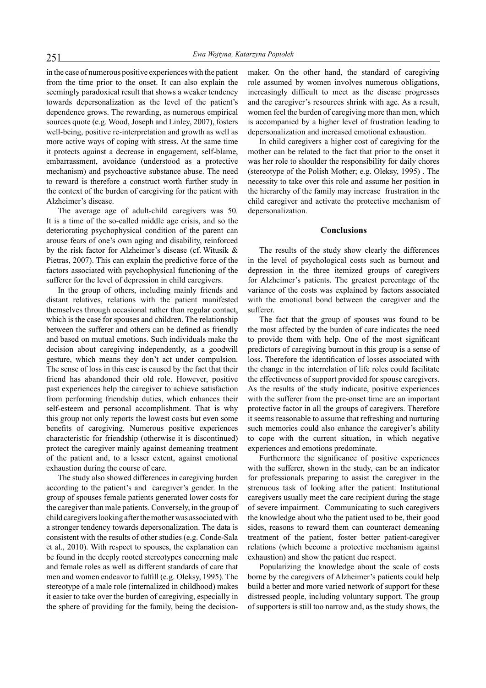in the case of numerous positive experiences with the patient from the time prior to the onset. It can also explain the seemingly paradoxical result that shows a weaker tendency towards depersonalization as the level of the patient's dependence grows. The rewarding, as numerous empirical sources quote (e.g. Wood, Joseph and Linley, 2007), fosters well-being, positive re-interpretation and growth as well as more active ways of coping with stress. At the same time it protects against a decrease in engagement, self-blame, embarrassment, avoidance (understood as a protective mechanism) and psychoactive substance abuse. The need to reward is therefore a construct worth further study in the context of the burden of caregiving for the patient with Alzheimer's disease.

The average age of adult-child caregivers was 50. It is a time of the so-called middle age crisis, and so the deteriorating psychophysical condition of the parent can arouse fears of one's own aging and disability, reinforced by the risk factor for Alzheimer's disease (cf. Witusik & Pietras, 2007). This can explain the predictive force of the factors associated with psychophysical functioning of the sufferer for the level of depression in child caregivers.

In the group of others, including mainly friends and distant relatives, relations with the patient manifested themselves through occasional rather than regular contact, which is the case for spouses and children. The relationship between the sufferer and others can be defined as friendly and based on mutual emotions. Such individuals make the decision about caregiving independently, as a goodwill gesture, which means they don't act under compulsion. The sense of loss in this case is caused by the fact that their friend has abandoned their old role. However, positive past experiences help the caregiver to achieve satisfaction from performing friendship duties, which enhances their self-esteem and personal accomplishment. That is why this group not only reports the lowest costs but even some benefits of caregiving. Numerous positive experiences characteristic for friendship (otherwise it is discontinued) protect the caregiver mainly against demeaning treatment of the patient and, to a lesser extent, against emotional exhaustion during the course of care.

The study also showed differences in caregiving burden according to the patient's and caregiver's gender. In the group of spouses female patients generated lower costs for the caregiver than male patients. Conversely, in the group of child caregivers looking after the mother was associated with a stronger tendency towards depersonalization. The data is consistent with the results of other studies (e.g. Conde-Sala et al., 2010). With respect to spouses, the explanation can be found in the deeply rooted stereotypes concerning male and female roles as well as different standards of care that men and women endeavor to fulfill (e.g. Oleksy, 1995). The stereotype of a male role (internalized in childhood) makes it easier to take over the burden of caregiving, especially in the sphere of providing for the family, being the decisionmaker. On the other hand, the standard of caregiving role assumed by women involves numerous obligations, increasingly difficult to meet as the disease progresses and the caregiver's resources shrink with age. As a result, women feel the burden of caregiving more than men, which is accompanied by a higher level of frustration leading to depersonalization and increased emotional exhaustion.

In child caregivers a higher cost of caregiving for the mother can be related to the fact that prior to the onset it was her role to shoulder the responsibility for daily chores (stereotype of the Polish Mother; e.g. Oleksy, 1995) . The necessity to take over this role and assume her position in the hierarchy of the family may increase frustration in the child caregiver and activate the protective mechanism of depersonalization.

# **Conclusions**

The results of the study show clearly the differences in the level of psychological costs such as burnout and depression in the three itemized groups of caregivers for Alzheimer's patients. The greatest percentage of the variance of the costs was explained by factors associated with the emotional bond between the caregiver and the sufferer.

The fact that the group of spouses was found to be the most affected by the burden of care indicates the need to provide them with help. One of the most significant predictors of caregiving burnout in this group is a sense of loss. Therefore the identification of losses associated with the change in the interrelation of life roles could facilitate the effectiveness of support provided for spouse caregivers. As the results of the study indicate, positive experiences with the sufferer from the pre-onset time are an important protective factor in all the groups of caregivers. Therefore it seems reasonable to assume that refreshing and nurturing such memories could also enhance the caregiver's ability to cope with the current situation, in which negative experiences and emotions predominate.

Furthermore the significance of positive experiences with the sufferer, shown in the study, can be an indicator for professionals preparing to assist the caregiver in the strenuous task of looking after the patient. Institutional caregivers usually meet the care recipient during the stage of severe impairment. Communicating to such caregivers the knowledge about who the patient used to be, their good sides, reasons to reward them can counteract demeaning treatment of the patient, foster better patient-caregiver relations (which become a protective mechanism against exhaustion) and show the patient due respect.

Popularizing the knowledge about the scale of costs borne by the caregivers of Alzheimer's patients could help build a better and more varied network of support for these distressed people, including voluntary support. The group of supporters is still too narrow and, as the study shows, the